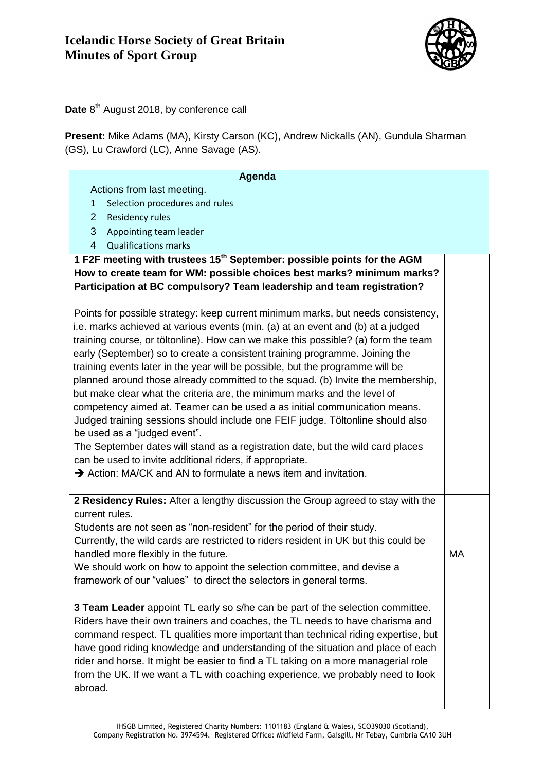

Date 8<sup>th</sup> August 2018, by conference call

**Present:** Mike Adams (MA), Kirsty Carson (KC), Andrew Nickalls (AN), Gundula Sharman (GS), Lu Crawford (LC), Anne Savage (AS).

| Agenda                                                                                                                                                                                                                                                                                                                                                                                                                                                                                                                                                                                                                                                                                                                                                                                                                                                                                                                                                                                                 |    |
|--------------------------------------------------------------------------------------------------------------------------------------------------------------------------------------------------------------------------------------------------------------------------------------------------------------------------------------------------------------------------------------------------------------------------------------------------------------------------------------------------------------------------------------------------------------------------------------------------------------------------------------------------------------------------------------------------------------------------------------------------------------------------------------------------------------------------------------------------------------------------------------------------------------------------------------------------------------------------------------------------------|----|
| Actions from last meeting.                                                                                                                                                                                                                                                                                                                                                                                                                                                                                                                                                                                                                                                                                                                                                                                                                                                                                                                                                                             |    |
| Selection procedures and rules<br>$\mathbf{1}$                                                                                                                                                                                                                                                                                                                                                                                                                                                                                                                                                                                                                                                                                                                                                                                                                                                                                                                                                         |    |
| $\overline{2}$<br>Residency rules                                                                                                                                                                                                                                                                                                                                                                                                                                                                                                                                                                                                                                                                                                                                                                                                                                                                                                                                                                      |    |
| 3<br>Appointing team leader                                                                                                                                                                                                                                                                                                                                                                                                                                                                                                                                                                                                                                                                                                                                                                                                                                                                                                                                                                            |    |
| $\overline{4}$<br><b>Qualifications marks</b>                                                                                                                                                                                                                                                                                                                                                                                                                                                                                                                                                                                                                                                                                                                                                                                                                                                                                                                                                          |    |
| 1 F2F meeting with trustees 15 <sup>th</sup> September: possible points for the AGM<br>How to create team for WM: possible choices best marks? minimum marks?<br>Participation at BC compulsory? Team leadership and team registration?                                                                                                                                                                                                                                                                                                                                                                                                                                                                                                                                                                                                                                                                                                                                                                |    |
| Points for possible strategy: keep current minimum marks, but needs consistency,<br>i.e. marks achieved at various events (min. (a) at an event and (b) at a judged<br>training course, or töltonline). How can we make this possible? (a) form the team<br>early (September) so to create a consistent training programme. Joining the<br>training events later in the year will be possible, but the programme will be<br>planned around those already committed to the squad. (b) Invite the membership,<br>but make clear what the criteria are, the minimum marks and the level of<br>competency aimed at. Teamer can be used a as initial communication means.<br>Judged training sessions should include one FEIF judge. Töltonline should also<br>be used as a "judged event".<br>The September dates will stand as a registration date, but the wild card places<br>can be used to invite additional riders, if appropriate.<br>Action: MA/CK and AN to formulate a news item and invitation. |    |
| 2 Residency Rules: After a lengthy discussion the Group agreed to stay with the<br>current rules.<br>Students are not seen as "non-resident" for the period of their study.<br>Currently, the wild cards are restricted to riders resident in UK but this could be<br>handled more flexibly in the future.<br>We should work on how to appoint the selection committee, and devise a<br>framework of our "values" to direct the selectors in general terms.                                                                                                                                                                                                                                                                                                                                                                                                                                                                                                                                            | MA |
| 3 Team Leader appoint TL early so s/he can be part of the selection committee.<br>Riders have their own trainers and coaches, the TL needs to have charisma and<br>command respect. TL qualities more important than technical riding expertise, but<br>have good riding knowledge and understanding of the situation and place of each<br>rider and horse. It might be easier to find a TL taking on a more managerial role<br>from the UK. If we want a TL with coaching experience, we probably need to look<br>abroad.                                                                                                                                                                                                                                                                                                                                                                                                                                                                             |    |